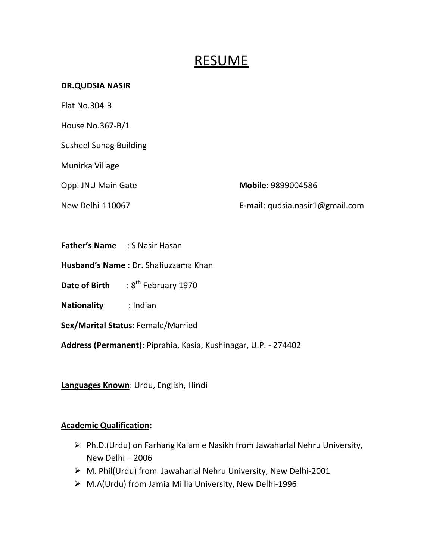# **RESUME**

#### **DR.QUDSIA NASIR**

Flat No.304-B

House No.367-B/1

Susheel Suhag Building

Munirka Village

Opp. JNU Main Gate **Mobile**: 9899004586

New Delhi-110067 **E-mail**: qudsia.nasir1@gmail.com

- **Father's Name** : S Nasir Hasan
- **Husband's Name** : Dr. Shafiuzzama Khan

**Date of Birth** : 8<sup>th</sup> February 1970

**Nationality** : Indian

**Sex/Marital Status**: Female/Married

**Address (Permanent)**: Piprahia, Kasia, Kushinagar, U.P. - 274402

**Languages Known**: Urdu, English, Hindi

## **Academic Qualification:**

- $\triangleright$  Ph.D.(Urdu) on Farhang Kalam e Nasikh from Jawaharlal Nehru University, New Delhi – 2006
- $\triangleright$  M. Phil(Urdu) from Jawaharlal Nehru University, New Delhi-2001
- M.A(Urdu) from Jamia Millia University, New Delhi-1996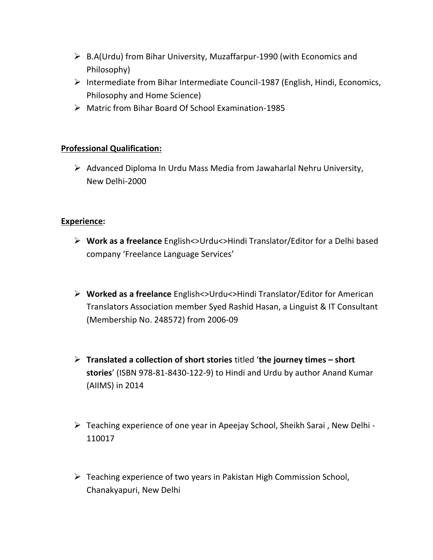- B.A(Urdu) from Bihar University, Muzaffarpur-1990 (with Economics and Philosophy)
- Intermediate from Bihar Intermediate Council-1987 (English, Hindi, Economics, Philosophy and Home Science)
- Matric from Bihar Board Of School Examination-1985

## **Professional Qualification:**

 $\triangleright$  Advanced Diploma In Urdu Mass Media from Jawaharlal Nehru University, New Delhi-2000

## **Experience:**

- **Work as a freelance** English<>Urdu<>Hindi Translator/Editor for a Delhi based company 'Freelance Language Services'
- **Worked as a freelance** English<>Urdu<>Hindi Translator/Editor for American Translators Association member Syed Rashid Hasan, a Linguist & IT Consultant (Membership No. 248572) from 2006-09
- **Translated a collection of short stories** titled '**the journey times – short stories**' (ISBN 978-81-8430-122-9) to Hindi and Urdu by author Anand Kumar (AIIMS) in 2014
- Teaching experience of one year in Apeejay School, Sheikh Sarai , New Delhi 110017
- Teaching experience of two years in Pakistan High Commission School, Chanakyapuri, New Delhi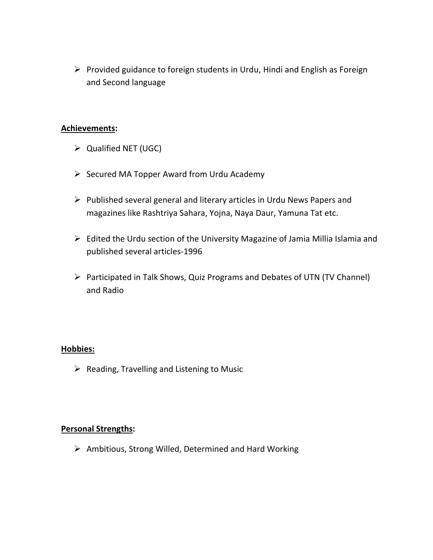$\triangleright$  Provided guidance to foreign students in Urdu, Hindi and English as Foreign and Second language

#### **Achievements:**

- $\triangleright$  Qualified NET (UGC)
- $\triangleright$  Secured MA Topper Award from Urdu Academy
- $\triangleright$  Published several general and literary articles in Urdu News Papers and magazines like Rashtriya Sahara, Yojna, Naya Daur, Yamuna Tat etc.
- $\triangleright$  Edited the Urdu section of the University Magazine of Jamia Millia Islamia and published several articles-1996
- Participated in Talk Shows, Quiz Programs and Debates of UTN (TV Channel) and Radio

#### **Hobbies:**

 $\triangleright$  Reading, Travelling and Listening to Music

#### **Personal Strengths:**

 $\triangleright$  Ambitious, Strong Willed, Determined and Hard Working